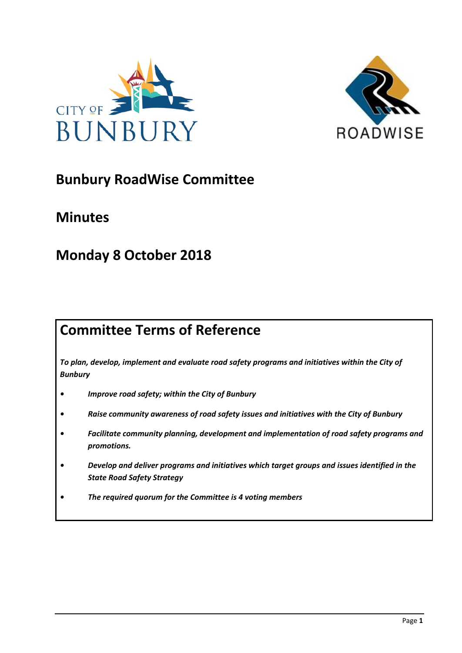



# **Bunbury RoadWise Committee**

# **Minutes**

# **Monday 8 October 2018**

# **Committee Terms of Reference**

*To plan, develop, implement and evaluate road safety programs and initiatives within the City of Bunbury*

- *• Improve road safety; within the City of Bunbury*
- *• Raise community awareness of road safety issues and initiatives with the City of Bunbury*
- *• Facilitate community planning, development and implementation of road safety programs and promotions.*
- *• Develop and deliver programs and initiatives which target groups and issues identified in the State Road Safety Strategy*
- *• The required quorum for the Committee is 4 voting members*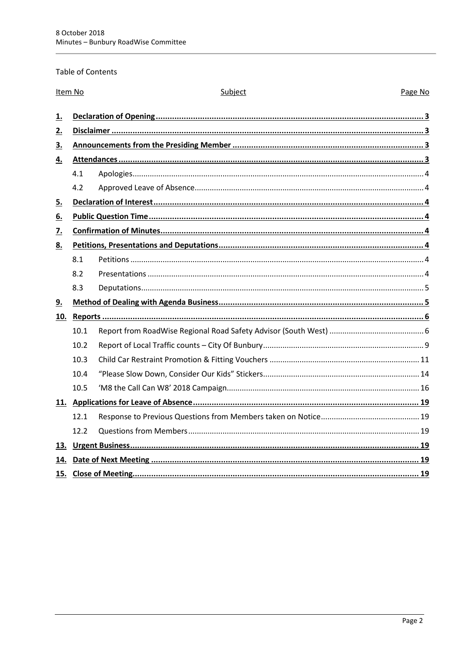## Table of Contents

| Item No   |      | Subject<br>Page No |  |  |  |
|-----------|------|--------------------|--|--|--|
| <u>1.</u> |      |                    |  |  |  |
| 2.        |      |                    |  |  |  |
| 3.        |      |                    |  |  |  |
|           |      |                    |  |  |  |
| 4.        |      |                    |  |  |  |
|           | 4.1  |                    |  |  |  |
|           | 4.2  |                    |  |  |  |
| 5.        |      |                    |  |  |  |
| 6.        |      |                    |  |  |  |
| 7.        |      |                    |  |  |  |
| 8.        |      |                    |  |  |  |
|           | 8.1  |                    |  |  |  |
|           | 8.2  |                    |  |  |  |
|           | 8.3  |                    |  |  |  |
| <u>9.</u> |      |                    |  |  |  |
|           |      |                    |  |  |  |
|           | 10.1 |                    |  |  |  |
|           | 10.2 |                    |  |  |  |
|           | 10.3 |                    |  |  |  |
|           | 10.4 |                    |  |  |  |
|           | 10.5 |                    |  |  |  |
|           |      |                    |  |  |  |
|           | 12.1 |                    |  |  |  |
|           | 12.2 |                    |  |  |  |
| 13.       |      |                    |  |  |  |
| 14.       |      |                    |  |  |  |
|           |      |                    |  |  |  |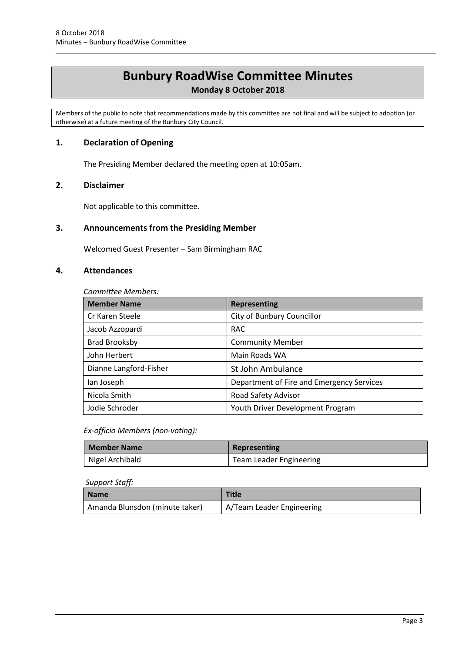# **Bunbury RoadWise Committee Minutes**

# **Monday 8 October 2018**

Members of the public to note that recommendations made by this committee are not final and will be subject to adoption (or otherwise) at a future meeting of the Bunbury City Council.

# <span id="page-2-0"></span>**1. Declaration of Opening**

The Presiding Member declared the meeting open at 10:05am.

## <span id="page-2-1"></span>**2. Disclaimer**

Not applicable to this committee.

# <span id="page-2-2"></span>**3. Announcements from the Presiding Member**

Welcomed Guest Presenter – Sam Birmingham RAC

## <span id="page-2-3"></span>**4. Attendances**

*Committee Members:*

| <b>Member Name</b>     | <b>Representing</b>                       |  |
|------------------------|-------------------------------------------|--|
| Cr Karen Steele        | City of Bunbury Councillor                |  |
| Jacob Azzopardi        | <b>RAC</b>                                |  |
| <b>Brad Brooksby</b>   | <b>Community Member</b>                   |  |
| John Herbert           | Main Roads WA                             |  |
| Dianne Langford-Fisher | St John Ambulance                         |  |
| lan Joseph             | Department of Fire and Emergency Services |  |
| Nicola Smith           | Road Safety Advisor                       |  |
| Jodie Schroder         | Youth Driver Development Program          |  |

*Ex-officio Members (non-voting):*

| Member Name     | Representing            |  |
|-----------------|-------------------------|--|
| Nigel Archibald | Team Leader Engineering |  |

#### *Support Staff:*

| <b>Name</b>                    | <b>Title</b>              |
|--------------------------------|---------------------------|
| Amanda Blunsdon (minute taker) | A/Team Leader Engineering |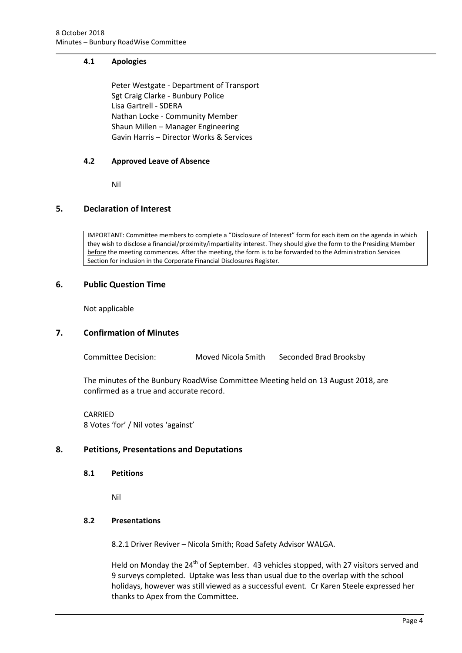# <span id="page-3-0"></span>**4.1 Apologies**

Peter Westgate - Department of Transport Sgt Craig Clarke - Bunbury Police Lisa Gartrell - SDERA Nathan Locke - Community Member Shaun Millen – Manager Engineering Gavin Harris – Director Works & Services

## <span id="page-3-1"></span>**4.2 Approved Leave of Absence**

Nil

# <span id="page-3-2"></span>**5. Declaration of Interest**

IMPORTANT: Committee members to complete a "Disclosure of Interest" form for each item on the agenda in which they wish to disclose a financial/proximity/impartiality interest. They should give the form to the Presiding Member before the meeting commences. After the meeting, the form is to be forwarded to the Administration Services Section for inclusion in the Corporate Financial Disclosures Register.

## <span id="page-3-3"></span>**6. Public Question Time**

Not applicable

#### <span id="page-3-4"></span>**7. Confirmation of Minutes**

Committee Decision: Moved Nicola Smith Seconded Brad Brooksby

The minutes of the Bunbury RoadWise Committee Meeting held on 13 August 2018, are confirmed as a true and accurate record.

CARRIED 8 Votes 'for' / Nil votes 'against'

# <span id="page-3-6"></span><span id="page-3-5"></span>**8. Petitions, Presentations and Deputations**

**8.1 Petitions**

Nil

#### <span id="page-3-7"></span>**8.2 Presentations**

8.2.1 Driver Reviver – Nicola Smith; Road Safety Advisor WALGA.

Held on Monday the  $24<sup>th</sup>$  of September. 43 vehicles stopped, with 27 visitors served and 9 surveys completed. Uptake was less than usual due to the overlap with the school holidays, however was still viewed as a successful event. Cr Karen Steele expressed her thanks to Apex from the Committee.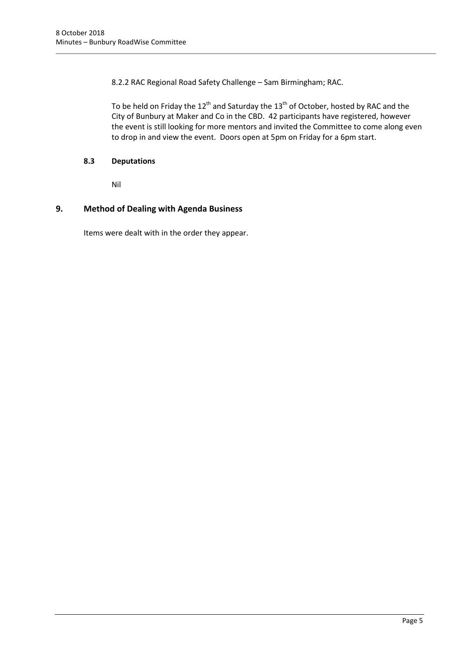8.2.2 RAC Regional Road Safety Challenge – Sam Birmingham; RAC.

To be held on Friday the  $12^{th}$  and Saturday the  $13^{th}$  of October, hosted by RAC and the City of Bunbury at Maker and Co in the CBD. 42 participants have registered, however the event is still looking for more mentors and invited the Committee to come along even to drop in and view the event. Doors open at 5pm on Friday for a 6pm start.

# <span id="page-4-0"></span>**8.3 Deputations**

Nil

# <span id="page-4-1"></span>**9. Method of Dealing with Agenda Business**

Items were dealt with in the order they appear.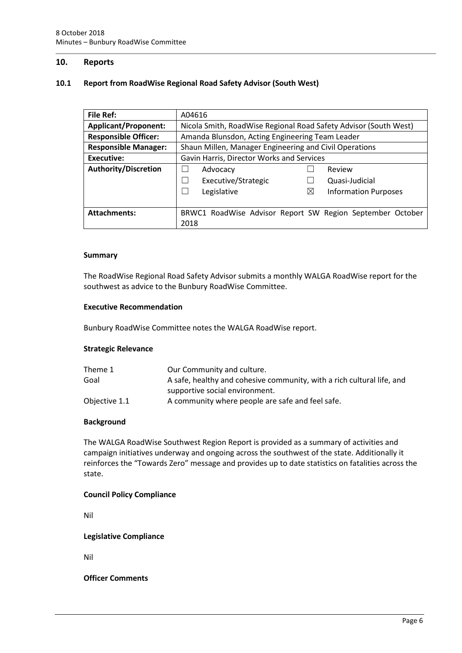## <span id="page-5-0"></span>**10. Reports**

### <span id="page-5-1"></span>**10.1 Report from RoadWise Regional Road Safety Advisor (South West)**

| <b>File Ref:</b>            | A04616                                                           |                                                           |  |  |
|-----------------------------|------------------------------------------------------------------|-----------------------------------------------------------|--|--|
| <b>Applicant/Proponent:</b> | Nicola Smith, RoadWise Regional Road Safety Advisor (South West) |                                                           |  |  |
| <b>Responsible Officer:</b> | Amanda Blunsdon, Acting Engineering Team Leader                  |                                                           |  |  |
| <b>Responsible Manager:</b> | Shaun Millen, Manager Engineering and Civil Operations           |                                                           |  |  |
| Executive:                  | Gavin Harris, Director Works and Services                        |                                                           |  |  |
| <b>Authority/Discretion</b> | Advocacy                                                         | Review                                                    |  |  |
|                             | Executive/Strategic                                              | Quasi-Judicial                                            |  |  |
|                             | Legislative                                                      | <b>Information Purposes</b><br>$\boxtimes$                |  |  |
|                             |                                                                  |                                                           |  |  |
| <b>Attachments:</b>         |                                                                  | BRWC1 RoadWise Advisor Report SW Region September October |  |  |
|                             | 2018                                                             |                                                           |  |  |

#### **Summary**

The RoadWise Regional Road Safety Advisor submits a monthly WALGA RoadWise report for the southwest as advice to the Bunbury RoadWise Committee.

#### **Executive Recommendation**

Bunbury RoadWise Committee notes the WALGA RoadWise report.

#### **Strategic Relevance**

| Theme 1       | Our Community and culture.                                             |
|---------------|------------------------------------------------------------------------|
| Goal          | A safe, healthy and cohesive community, with a rich cultural life, and |
|               | supportive social environment.                                         |
| Objective 1.1 | A community where people are safe and feel safe.                       |

#### **Background**

The WALGA RoadWise Southwest Region Report is provided as a summary of activities and campaign initiatives underway and ongoing across the southwest of the state. Additionally it reinforces the "Towards Zero" message and provides up to date statistics on fatalities across the state.

#### **Council Policy Compliance**

Nil

**Legislative Compliance**

Nil

**Officer Comments**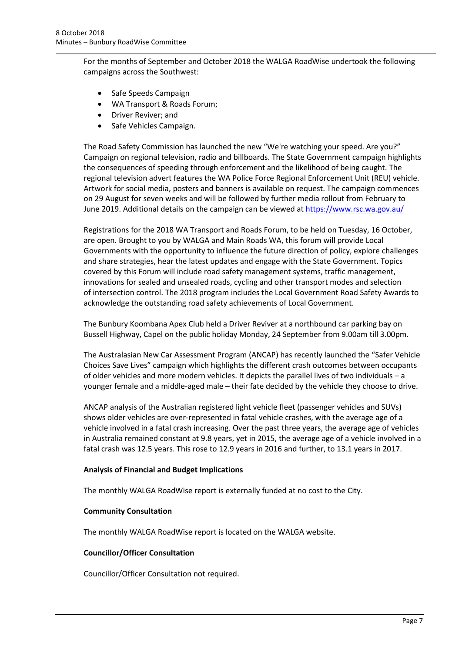For the months of September and October 2018 the WALGA RoadWise undertook the following campaigns across the Southwest:

- Safe Speeds Campaign
- WA Transport & Roads Forum;
- Driver Reviver; and
- Safe Vehicles Campaign.

The Road Safety Commission has launched the new "We're watching your speed. Are you?" Campaign on regional television, radio and billboards. The State Government campaign highlights the consequences of speeding through enforcement and the likelihood of being caught. The regional television advert features the WA Police Force Regional Enforcement Unit (REU) vehicle. Artwork for social media, posters and banners is available on request. The campaign commences on 29 August for seven weeks and will be followed by further media rollout from February to June 2019. Additional details on the campaign can be viewed at <https://www.rsc.wa.gov.au/>

Registrations for the 2018 WA Transport and Roads Forum, to be held on Tuesday, 16 October, are open. Brought to you by WALGA and Main Roads WA, this forum will provide Local Governments with the opportunity to influence the future direction of policy, explore challenges and share strategies, hear the latest updates and engage with the State Government. Topics covered by this Forum will include road safety management systems, traffic management, innovations for sealed and unsealed roads, cycling and other transport modes and selection of intersection control. The 2018 program includes the Local Government Road Safety Awards to acknowledge the outstanding road safety achievements of Local Government.

The Bunbury Koombana Apex Club held a Driver Reviver at a northbound car parking bay on Bussell Highway, Capel on the public holiday Monday, 24 September from 9.00am till 3.00pm.

The Australasian New Car Assessment Program (ANCAP) has recently launched the "Safer Vehicle Choices Save Lives" campaign which highlights the different crash outcomes between occupants of older vehicles and more modern vehicles. It depicts the parallel lives of two individuals – a younger female and a middle-aged male – their fate decided by the vehicle they choose to drive.

ANCAP analysis of the Australian registered light vehicle fleet (passenger vehicles and SUVs) shows older vehicles are over-represented in fatal vehicle crashes, with the average age of a vehicle involved in a fatal crash increasing. Over the past three years, the average age of vehicles in Australia remained constant at 9.8 years, yet in 2015, the average age of a vehicle involved in a fatal crash was 12.5 years. This rose to 12.9 years in 2016 and further, to 13.1 years in 2017.

#### **Analysis of Financial and Budget Implications**

The monthly WALGA RoadWise report is externally funded at no cost to the City.

#### **Community Consultation**

The monthly WALGA RoadWise report is located on the WALGA website.

#### **Councillor/Officer Consultation**

Councillor/Officer Consultation not required.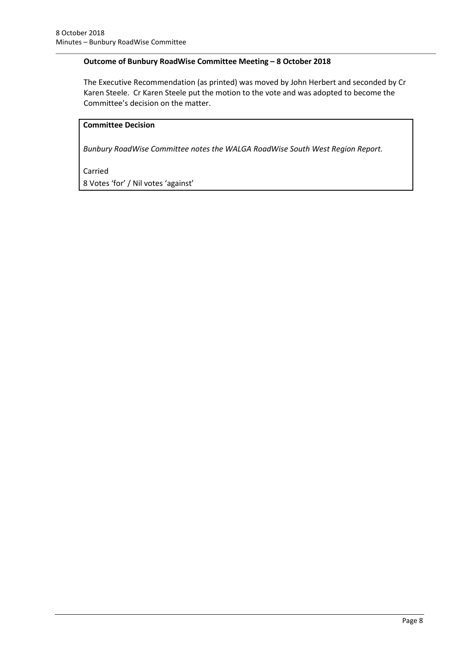# **Outcome of Bunbury RoadWise Committee Meeting – 8 October 2018**

The Executive Recommendation (as printed) was moved by John Herbert and seconded by Cr Karen Steele. Cr Karen Steele put the motion to the vote and was adopted to become the Committee's decision on the matter.

# **Committee Decision**

*Bunbury RoadWise Committee notes the WALGA RoadWise South West Region Report.* 

Carried

8 Votes 'for' / Nil votes 'against'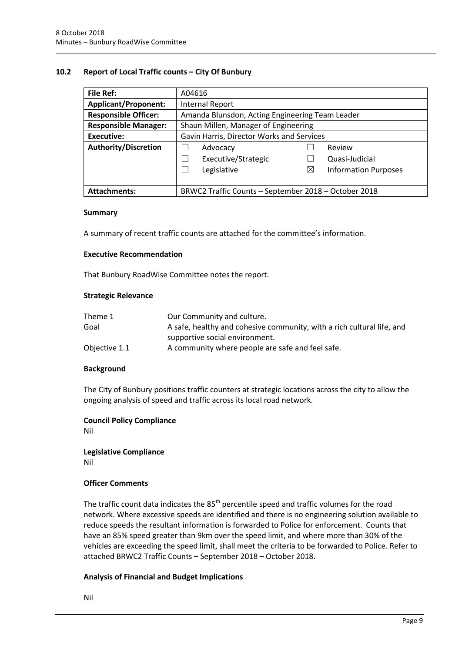## <span id="page-8-0"></span>**10.2 Report of Local Traffic counts – City Of Bunbury**

| <b>File Ref:</b>            | A04616                                               |   |                             |  |
|-----------------------------|------------------------------------------------------|---|-----------------------------|--|
| <b>Applicant/Proponent:</b> | Internal Report                                      |   |                             |  |
| <b>Responsible Officer:</b> | Amanda Blunsdon, Acting Engineering Team Leader      |   |                             |  |
| <b>Responsible Manager:</b> | Shaun Millen, Manager of Engineering                 |   |                             |  |
| Executive:                  | Gavin Harris, Director Works and Services            |   |                             |  |
| <b>Authority/Discretion</b> | Advocacy<br>Review                                   |   |                             |  |
|                             | Executive/Strategic                                  |   | Quasi-Judicial              |  |
|                             | Legislative                                          | ⊠ | <b>Information Purposes</b> |  |
|                             |                                                      |   |                             |  |
| <b>Attachments:</b>         | BRWC2 Traffic Counts - September 2018 - October 2018 |   |                             |  |

#### **Summary**

A summary of recent traffic counts are attached for the committee's information.

#### **Executive Recommendation**

That Bunbury RoadWise Committee notes the report.

#### **Strategic Relevance**

| Theme 1       | Our Community and culture.                                             |
|---------------|------------------------------------------------------------------------|
| Goal          | A safe, healthy and cohesive community, with a rich cultural life, and |
|               | supportive social environment.                                         |
| Objective 1.1 | A community where people are safe and feel safe.                       |

#### **Background**

The City of Bunbury positions traffic counters at strategic locations across the city to allow the ongoing analysis of speed and traffic across its local road network.

#### **Council Policy Compliance**

Nil

**Legislative Compliance** Nil

#### **Officer Comments**

The traffic count data indicates the  $85<sup>th</sup>$  percentile speed and traffic volumes for the road network. Where excessive speeds are identified and there is no engineering solution available to reduce speeds the resultant information is forwarded to Police for enforcement. Counts that have an 85% speed greater than 9km over the speed limit, and where more than 30% of the vehicles are exceeding the speed limit, shall meet the criteria to be forwarded to Police. Refer to attached BRWC2 Traffic Counts – September 2018 – October 2018.

#### **Analysis of Financial and Budget Implications**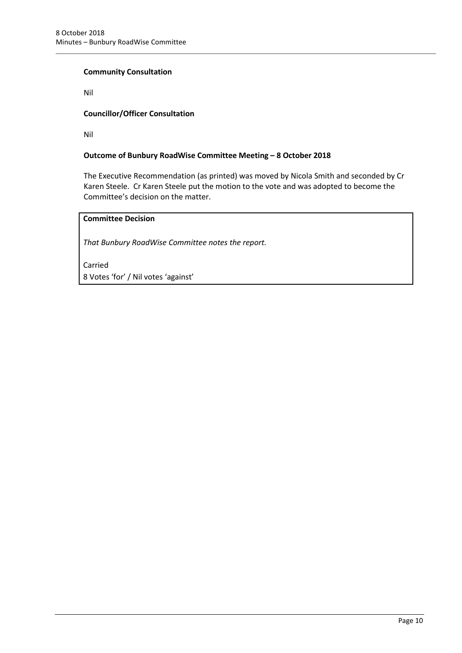## **Community Consultation**

Nil

# **Councillor/Officer Consultation**

Nil

## **Outcome of Bunbury RoadWise Committee Meeting – 8 October 2018**

The Executive Recommendation (as printed) was moved by Nicola Smith and seconded by Cr Karen Steele. Cr Karen Steele put the motion to the vote and was adopted to become the Committee's decision on the matter.

# **Committee Decision**

*That Bunbury RoadWise Committee notes the report.*

Carried 8 Votes 'for' / Nil votes 'against'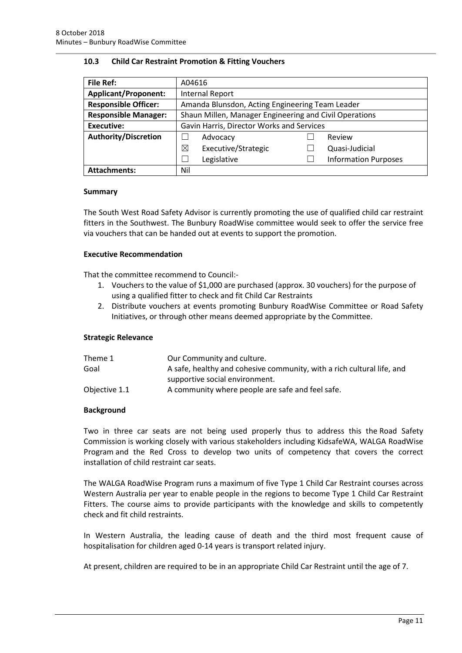## <span id="page-10-0"></span>**10.3 Child Car Restraint Promotion & Fitting Vouchers**

| <b>File Ref:</b>            | A04616                                                 |  |                             |  |
|-----------------------------|--------------------------------------------------------|--|-----------------------------|--|
| <b>Applicant/Proponent:</b> | Internal Report                                        |  |                             |  |
| <b>Responsible Officer:</b> | Amanda Blunsdon, Acting Engineering Team Leader        |  |                             |  |
| <b>Responsible Manager:</b> | Shaun Millen, Manager Engineering and Civil Operations |  |                             |  |
| <b>Executive:</b>           | Gavin Harris, Director Works and Services              |  |                             |  |
| <b>Authority/Discretion</b> | Advocacy                                               |  | Review                      |  |
|                             | ⊠<br>Executive/Strategic                               |  | Quasi-Judicial              |  |
|                             | Legislative                                            |  | <b>Information Purposes</b> |  |
| <b>Attachments:</b>         | Nil                                                    |  |                             |  |

## **Summary**

The South West Road Safety Advisor is currently promoting the use of qualified child car restraint fitters in the Southwest. The Bunbury RoadWise committee would seek to offer the service free via vouchers that can be handed out at events to support the promotion.

## **Executive Recommendation**

That the committee recommend to Council:-

- 1. Vouchers to the value of \$1,000 are purchased (approx. 30 vouchers) for the purpose of using a qualified fitter to check and fit Child Car Restraints
- 2. Distribute vouchers at events promoting Bunbury RoadWise Committee or Road Safety Initiatives, or through other means deemed appropriate by the Committee.

#### **Strategic Relevance**

| Theme 1       | Our Community and culture.                                             |
|---------------|------------------------------------------------------------------------|
| Goal          | A safe, healthy and cohesive community, with a rich cultural life, and |
|               | supportive social environment.                                         |
| Objective 1.1 | A community where people are safe and feel safe.                       |

#### **Background**

Two in three car seats are not being used properly thus to address this the Road Safety Commission is working closely with various stakeholders including KidsafeWA, WALGA RoadWise Program and the Red Cross to develop two units of competency that covers the correct installation of child restraint car seats.

The WALGA RoadWise Program runs a maximum of five Type 1 Child Car Restraint courses across Western Australia per year to enable people in the regions to become Type 1 Child Car Restraint Fitters. The course aims to provide participants with the knowledge and skills to competently check and fit child restraints.

In Western Australia, the leading cause of death and the third most frequent cause of hospitalisation for children aged 0-14 years is transport related injury.

At present, children are required to be in an appropriate Child Car Restraint until the age of 7.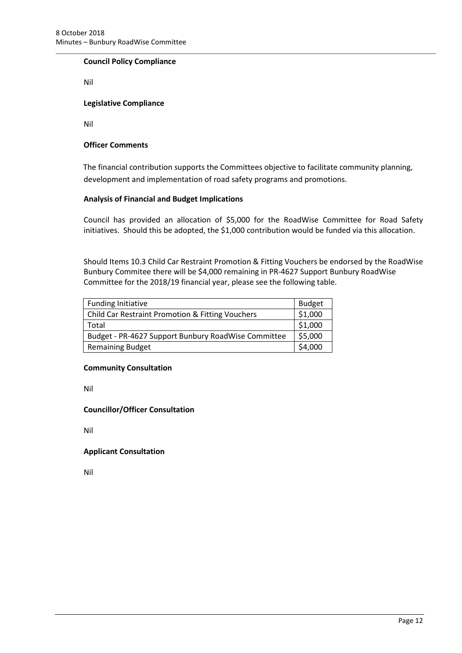### **Council Policy Compliance**

Nil

#### **Legislative Compliance**

Nil

## **Officer Comments**

The financial contribution supports the Committees objective to facilitate community planning, development and implementation of road safety programs and promotions.

## **Analysis of Financial and Budget Implications**

Council has provided an allocation of \$5,000 for the RoadWise Committee for Road Safety initiatives. Should this be adopted, the \$1,000 contribution would be funded via this allocation.

Should Items 10.3 Child Car Restraint Promotion & Fitting Vouchers be endorsed by the RoadWise Bunbury Commitee there will be \$4,000 remaining in PR-4627 Support Bunbury RoadWise Committee for the 2018/19 financial year, please see the following table.

| <b>Funding Initiative</b>                                   | <b>Budget</b> |
|-------------------------------------------------------------|---------------|
| <b>Child Car Restraint Promotion &amp; Fitting Vouchers</b> | \$1,000       |
| Total                                                       | \$1,000       |
| Budget - PR-4627 Support Bunbury RoadWise Committee         | \$5,000       |
| <b>Remaining Budget</b>                                     | \$4,000       |

#### **Community Consultation**

Nil

#### **Councillor/Officer Consultation**

Nil

# **Applicant Consultation**

Nil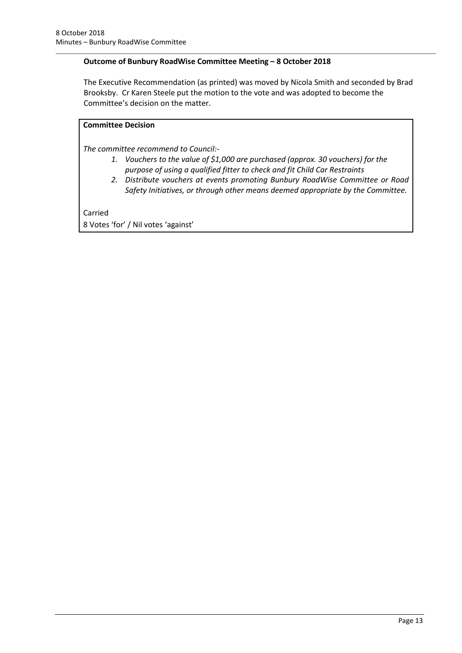# **Outcome of Bunbury RoadWise Committee Meeting – 8 October 2018**

The Executive Recommendation (as printed) was moved by Nicola Smith and seconded by Brad Brooksby. Cr Karen Steele put the motion to the vote and was adopted to become the Committee's decision on the matter.

# **Committee Decision**

*The committee recommend to Council:-*

- *1. Vouchers to the value of \$1,000 are purchased (approx. 30 vouchers) for the purpose of using a qualified fitter to check and fit Child Car Restraints*
- *2. Distribute vouchers at events promoting Bunbury RoadWise Committee or Road Safety Initiatives, or through other means deemed appropriate by the Committee.*

Carried

8 Votes 'for' / Nil votes 'against'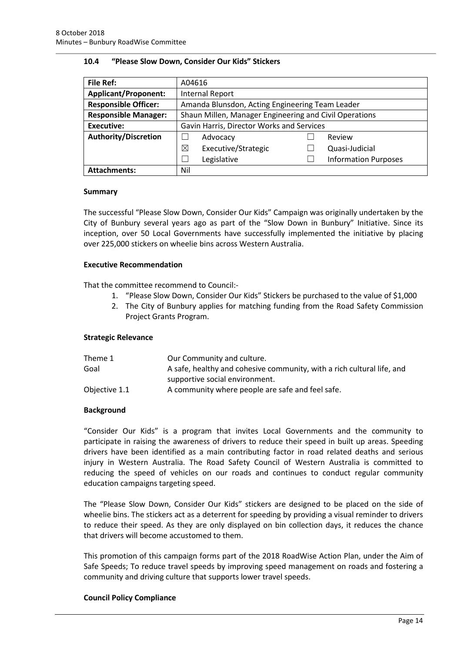#### <span id="page-13-0"></span>**10.4 "Please Slow Down, Consider Our Kids" Stickers**

| <b>File Ref:</b>            | A04616                                                 |  |                             |  |
|-----------------------------|--------------------------------------------------------|--|-----------------------------|--|
| <b>Applicant/Proponent:</b> | <b>Internal Report</b>                                 |  |                             |  |
| <b>Responsible Officer:</b> | Amanda Blunsdon, Acting Engineering Team Leader        |  |                             |  |
| <b>Responsible Manager:</b> | Shaun Millen, Manager Engineering and Civil Operations |  |                             |  |
| <b>Executive:</b>           | Gavin Harris, Director Works and Services              |  |                             |  |
| <b>Authority/Discretion</b> | Advocacy                                               |  | Review                      |  |
|                             | ⊠<br>Executive/Strategic                               |  | Quasi-Judicial              |  |
|                             | Legislative                                            |  | <b>Information Purposes</b> |  |
| <b>Attachments:</b>         | Nil                                                    |  |                             |  |

## **Summary**

The successful "Please Slow Down, Consider Our Kids" Campaign was originally undertaken by the City of Bunbury several years ago as part of the "Slow Down in Bunbury" Initiative. Since its inception, over 50 Local Governments have successfully implemented the initiative by placing over 225,000 stickers on wheelie bins across Western Australia.

#### **Executive Recommendation**

That the committee recommend to Council:-

- 1. "Please Slow Down, Consider Our Kids" Stickers be purchased to the value of \$1,000
- 2. The City of Bunbury applies for matching funding from the Road Safety Commission Project Grants Program.

#### **Strategic Relevance**

| Theme 1       | Our Community and culture.                                             |
|---------------|------------------------------------------------------------------------|
| Goal          | A safe, healthy and cohesive community, with a rich cultural life, and |
|               | supportive social environment.                                         |
| Objective 1.1 | A community where people are safe and feel safe.                       |

#### **Background**

"Consider Our Kids" is a program that invites Local Governments and the community to participate in raising the awareness of drivers to reduce their speed in built up areas. Speeding drivers have been identified as a main contributing factor in road related deaths and serious injury in Western Australia. The Road Safety Council of Western Australia is committed to reducing the speed of vehicles on our roads and continues to conduct regular community education campaigns targeting speed.

The "Please Slow Down, Consider Our Kids" stickers are designed to be placed on the side of wheelie bins. The stickers act as a deterrent for speeding by providing a visual reminder to drivers to reduce their speed. As they are only displayed on bin collection days, it reduces the chance that drivers will become accustomed to them.

This promotion of this campaign forms part of the 2018 RoadWise Action Plan, under the Aim of Safe Speeds; To reduce travel speeds by improving speed management on roads and fostering a community and driving culture that supports lower travel speeds.

# **Council Policy Compliance**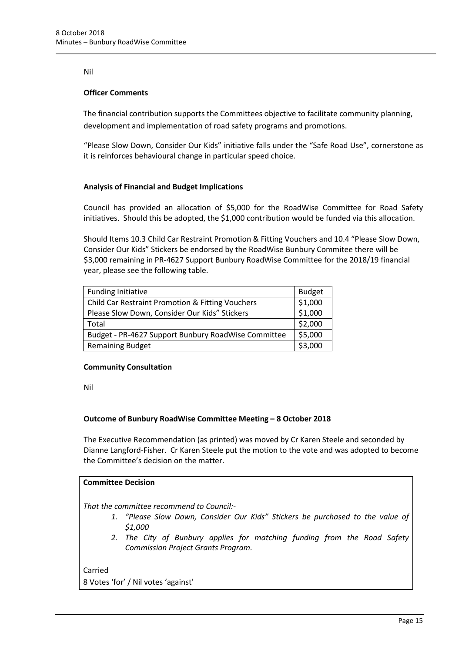### Nil

## **Officer Comments**

The financial contribution supports the Committees objective to facilitate community planning, development and implementation of road safety programs and promotions.

"Please Slow Down, Consider Our Kids" initiative falls under the "Safe Road Use", cornerstone as it is reinforces behavioural change in particular speed choice.

## **Analysis of Financial and Budget Implications**

Council has provided an allocation of \$5,000 for the RoadWise Committee for Road Safety initiatives. Should this be adopted, the \$1,000 contribution would be funded via this allocation.

Should Items 10.3 Child Car Restraint Promotion & Fitting Vouchers and 10.4 "Please Slow Down, Consider Our Kids" Stickers be endorsed by the RoadWise Bunbury Commitee there will be \$3,000 remaining in PR-4627 Support Bunbury RoadWise Committee for the 2018/19 financial year, please see the following table.

| <b>Funding Initiative</b>                           | <b>Budget</b> |
|-----------------------------------------------------|---------------|
| Child Car Restraint Promotion & Fitting Vouchers    | \$1,000       |
| Please Slow Down, Consider Our Kids" Stickers       | \$1,000       |
| Total                                               | \$2,000       |
| Budget - PR-4627 Support Bunbury RoadWise Committee | \$5,000       |
| <b>Remaining Budget</b>                             | \$3,000       |

#### **Community Consultation**

Nil

# **Outcome of Bunbury RoadWise Committee Meeting – 8 October 2018**

The Executive Recommendation (as printed) was moved by Cr Karen Steele and seconded by Dianne Langford-Fisher. Cr Karen Steele put the motion to the vote and was adopted to become the Committee's decision on the matter.

# **Committee Decision**

*That the committee recommend to Council:-*

- *1. "Please Slow Down, Consider Our Kids" Stickers be purchased to the value of \$1,000*
- *2. The City of Bunbury applies for matching funding from the Road Safety Commission Project Grants Program.*

Carried 8 Votes 'for' / Nil votes 'against'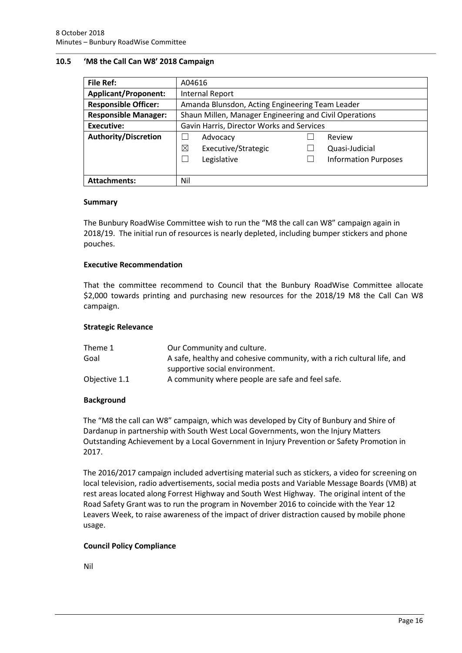### <span id="page-15-0"></span>**10.5 'M8 the Call Can W8' 2018 Campaign**

| File Ref:                   | A04616                                                 |                             |  |
|-----------------------------|--------------------------------------------------------|-----------------------------|--|
| <b>Applicant/Proponent:</b> | Internal Report                                        |                             |  |
| <b>Responsible Officer:</b> | Amanda Blunsdon, Acting Engineering Team Leader        |                             |  |
| <b>Responsible Manager:</b> | Shaun Millen, Manager Engineering and Civil Operations |                             |  |
| Executive:                  | Gavin Harris, Director Works and Services              |                             |  |
| <b>Authority/Discretion</b> | Advocacy                                               | Review                      |  |
|                             | ⊠<br>Executive/Strategic                               | Quasi-Judicial              |  |
|                             | Legislative                                            | <b>Information Purposes</b> |  |
|                             |                                                        |                             |  |
| <b>Attachments:</b>         | Nil                                                    |                             |  |

#### **Summary**

The Bunbury RoadWise Committee wish to run the "M8 the call can W8" campaign again in 2018/19. The initial run of resources is nearly depleted, including bumper stickers and phone pouches.

#### **Executive Recommendation**

That the committee recommend to Council that the Bunbury RoadWise Committee allocate \$2,000 towards printing and purchasing new resources for the 2018/19 M8 the Call Can W8 campaign.

#### **Strategic Relevance**

| Theme 1       | Our Community and culture.                                             |
|---------------|------------------------------------------------------------------------|
| Goal          | A safe, healthy and cohesive community, with a rich cultural life, and |
|               | supportive social environment.                                         |
| Objective 1.1 | A community where people are safe and feel safe.                       |

#### **Background**

The "M8 the call can W8" campaign, which was developed by City of Bunbury and Shire of Dardanup in partnership with South West Local Governments, won the Injury Matters Outstanding Achievement by a Local Government in Injury Prevention or Safety Promotion in 2017.

The 2016/2017 campaign included advertising material such as stickers, a video for screening on local television, radio advertisements, social media posts and Variable Message Boards (VMB) at rest areas located along Forrest Highway and South West Highway. The original intent of the Road Safety Grant was to run the program in November 2016 to coincide with the Year 12 Leavers Week, to raise awareness of the impact of driver distraction caused by mobile phone usage.

#### **Council Policy Compliance**

Nil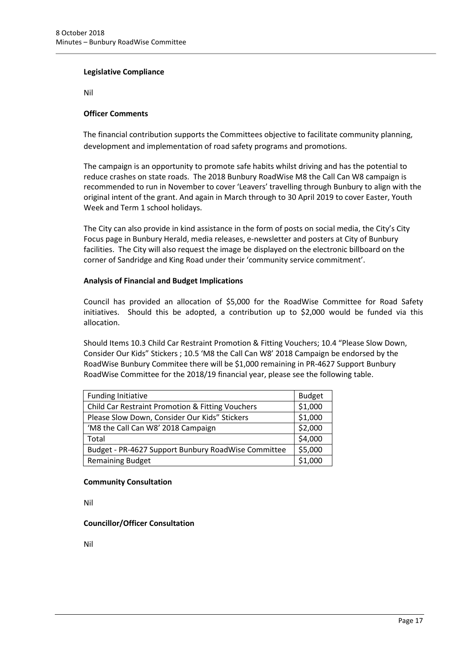### **Legislative Compliance**

Nil

## **Officer Comments**

The financial contribution supports the Committees objective to facilitate community planning, development and implementation of road safety programs and promotions.

The campaign is an opportunity to promote safe habits whilst driving and has the potential to reduce crashes on state roads. The 2018 Bunbury RoadWise M8 the Call Can W8 campaign is recommended to run in November to cover 'Leavers' travelling through Bunbury to align with the original intent of the grant. And again in March through to 30 April 2019 to cover Easter, Youth Week and Term 1 school holidays.

The City can also provide in kind assistance in the form of posts on social media, the City's City Focus page in Bunbury Herald, media releases, e-newsletter and posters at City of Bunbury facilities. The City will also request the image be displayed on the electronic billboard on the corner of Sandridge and King Road under their 'community service commitment'.

## **Analysis of Financial and Budget Implications**

Council has provided an allocation of \$5,000 for the RoadWise Committee for Road Safety initiatives. Should this be adopted, a contribution up to \$2,000 would be funded via this allocation.

Should Items 10.3 Child Car Restraint Promotion & Fitting Vouchers; 10.4 "Please Slow Down, Consider Our Kids" Stickers ; 10.5 'M8 the Call Can W8' 2018 Campaign be endorsed by the RoadWise Bunbury Commitee there will be \$1,000 remaining in PR-4627 Support Bunbury RoadWise Committee for the 2018/19 financial year, please see the following table.

| <b>Funding Initiative</b>                           | <b>Budget</b> |
|-----------------------------------------------------|---------------|
| Child Car Restraint Promotion & Fitting Vouchers    | \$1,000       |
| Please Slow Down, Consider Our Kids" Stickers       | \$1,000       |
| 'M8 the Call Can W8' 2018 Campaign                  | \$2,000       |
| Total                                               | \$4,000       |
| Budget - PR-4627 Support Bunbury RoadWise Committee | \$5,000       |
| <b>Remaining Budget</b>                             | \$1,000       |

#### **Community Consultation**

Nil

# **Councillor/Officer Consultation**

Nil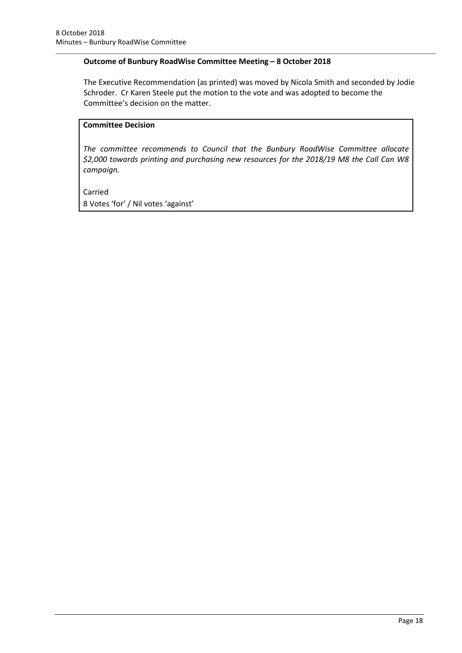## **Outcome of Bunbury RoadWise Committee Meeting – 8 October 2018**

The Executive Recommendation (as printed) was moved by Nicola Smith and seconded by Jodie Schroder. Cr Karen Steele put the motion to the vote and was adopted to become the Committee's decision on the matter.

# **Committee Decision**

*The committee recommends to Council that the Bunbury RoadWise Committee allocate \$2,000 towards printing and purchasing new resources for the 2018/19 M8 the Call Can W8 campaign.*

Carried 8 Votes 'for' / Nil votes 'against'